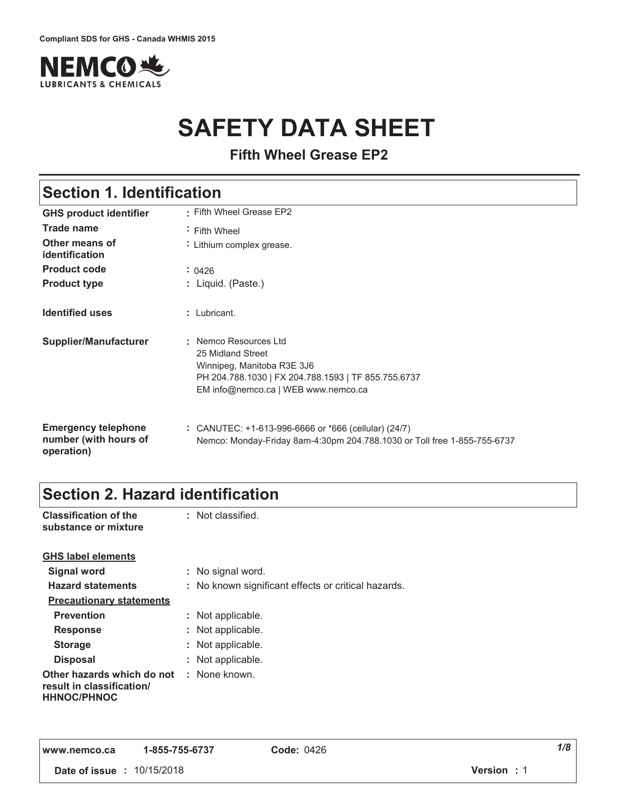

# **SAFETY DATA SHEET**

**Fifth Wheel Grease EP2**

# **Section 1. Identification**

| <b>GHS product identifier</b>                                     | : Fifth Wheel Grease EP2                                                                                                                                               |
|-------------------------------------------------------------------|------------------------------------------------------------------------------------------------------------------------------------------------------------------------|
| Trade name                                                        | Fifth Wheel                                                                                                                                                            |
| Other means of<br>identification                                  | : Lithium complex grease.                                                                                                                                              |
| <b>Product code</b>                                               | : 0426                                                                                                                                                                 |
| <b>Product type</b>                                               | : Liquid. (Paste.)                                                                                                                                                     |
| <b>Identified uses</b>                                            | $:$ Lubricant.                                                                                                                                                         |
| <b>Supplier/Manufacturer</b>                                      | : Nemco Resources Ltd<br>25 Midland Street<br>Winnipeg, Manitoba R3E 3J6<br>PH 204.788.1030   FX 204.788.1593   TF 855.755.6737<br>EM info@nemco.ca   WEB www.nemco.ca |
| <b>Emergency telephone</b><br>number (with hours of<br>operation) | $\therefore$ CANUTEC: +1-613-996-6666 or *666 (cellular) (24/7)<br>Nemco: Monday-Friday 8am-4:30pm 204.788.1030 or Toll free 1-855-755-6737                            |

# **Section 2. Hazard identification**

| <b>Classification of the</b><br>substance or mixture                          | : Not classified.                                   |
|-------------------------------------------------------------------------------|-----------------------------------------------------|
| <b>GHS label elements</b>                                                     |                                                     |
| Signal word                                                                   | : No signal word.                                   |
| <b>Hazard statements</b>                                                      | : No known significant effects or critical hazards. |
| <b>Precautionary statements</b>                                               |                                                     |
| <b>Prevention</b>                                                             | : Not applicable.                                   |
| <b>Response</b>                                                               | : Not applicable.                                   |
| <b>Storage</b>                                                                | : Not applicable.                                   |
| <b>Disposal</b>                                                               | : Not applicable.                                   |
| Other hazards which do not<br>result in classification/<br><b>HHNOC/PHNOC</b> | : None known.                                       |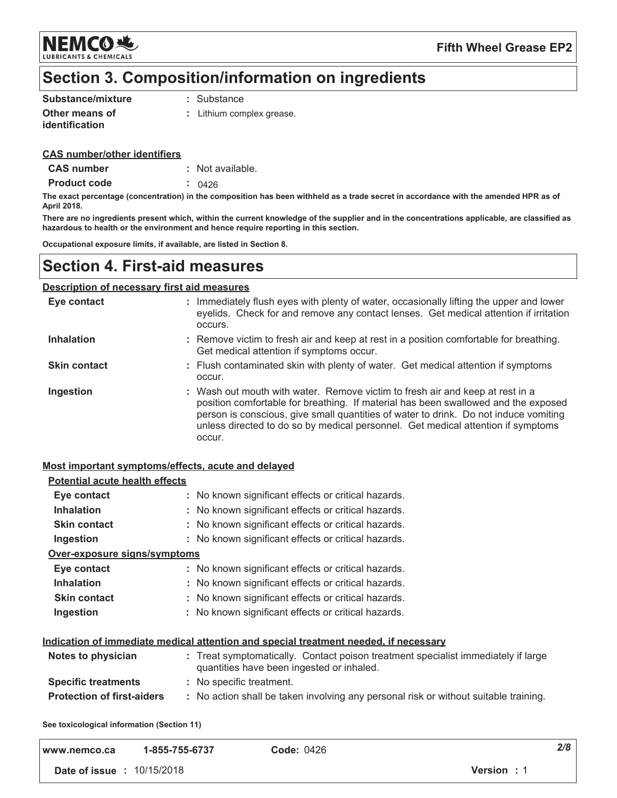

# Section 3. Composition/information on ingredients

| Substance/mixture     | : Substance               |
|-----------------------|---------------------------|
| Other means of        | : Lithium complex grease. |
| <b>identification</b> |                           |

### **CAS number/other identifiers**

| : Not available. |
|------------------|
|                  |

**Product code**  $: 0426$ 

The exact percentage (concentration) in the composition has been withheld as a trade secret in accordance with the amended HPR as of April 2018.

There are no ingredients present which, within the current knowledge of the supplier and in the concentrations applicable, are classified as hazardous to health or the environment and hence require reporting in this section.

Occupational exposure limits, if available, are listed in Section 8.

### **Section 4. First-aid measures**

#### Description of necessary first aid measures

| Eye contact         | : Immediately flush eyes with plenty of water, occasionally lifting the upper and lower<br>eyelids. Check for and remove any contact lenses. Get medical attention if irritation<br>occurs.                                                                                                                                                               |
|---------------------|-----------------------------------------------------------------------------------------------------------------------------------------------------------------------------------------------------------------------------------------------------------------------------------------------------------------------------------------------------------|
| <b>Inhalation</b>   | : Remove victim to fresh air and keep at rest in a position comfortable for breathing.<br>Get medical attention if symptoms occur.                                                                                                                                                                                                                        |
| <b>Skin contact</b> | : Flush contaminated skin with plenty of water. Get medical attention if symptoms<br>occur.                                                                                                                                                                                                                                                               |
| Ingestion           | : Wash out mouth with water. Remove victim to fresh air and keep at rest in a<br>position comfortable for breathing. If material has been swallowed and the exposed<br>person is conscious, give small quantities of water to drink. Do not induce vomiting<br>unless directed to do so by medical personnel. Get medical attention if symptoms<br>occur. |

### Most important symptoms/effects, acute and delayed

| <b>Potential acute health effects</b> |                                                                                                                                |
|---------------------------------------|--------------------------------------------------------------------------------------------------------------------------------|
| Eye contact                           | : No known significant effects or critical hazards.                                                                            |
| <b>Inhalation</b>                     | : No known significant effects or critical hazards.                                                                            |
| <b>Skin contact</b>                   | : No known significant effects or critical hazards.                                                                            |
| Ingestion                             | : No known significant effects or critical hazards.                                                                            |
| Over-exposure signs/symptoms          |                                                                                                                                |
| Eye contact                           | : No known significant effects or critical hazards.                                                                            |
| <b>Inhalation</b>                     | : No known significant effects or critical hazards.                                                                            |
| <b>Skin contact</b>                   | : No known significant effects or critical hazards.                                                                            |
| Ingestion                             | : No known significant effects or critical hazards.                                                                            |
|                                       | Indication of immediate medical attention and special treatment needed, if necessary                                           |
| Notes to physician                    | : Treat symptomatically. Contact poison treatment specialist immediately if large<br>quantities have been ingested or inhaled. |
| <b>Specific treatments</b>            | : No specific treatment.                                                                                                       |
| <b>Protection of first-aiders</b>     | : No action shall be taken involving any personal risk or without suitable training.                                           |
|                                       |                                                                                                                                |

See toxicological information (Section 11)

| www.nemco.ca                      | 1-855-755-6737 | <b>Code: 0426</b> |            | $2/\epsilon$ |
|-----------------------------------|----------------|-------------------|------------|--------------|
| <b>Date of issue : 10/15/2018</b> |                |                   | Version: 1 |              |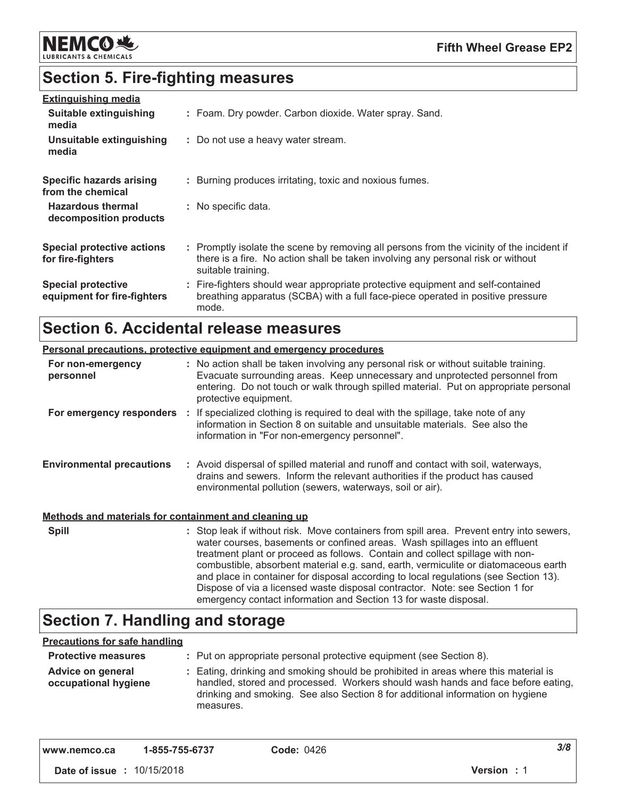

# **Section 5. Fire-fighting measures**

| <b>Extinguishing media</b>                               |                                                                                                                                                                                                     |
|----------------------------------------------------------|-----------------------------------------------------------------------------------------------------------------------------------------------------------------------------------------------------|
| Suitable extinguishing<br>media                          | : Foam. Dry powder. Carbon dioxide. Water spray. Sand.                                                                                                                                              |
| Unsuitable extinguishing<br>media                        | : Do not use a heavy water stream.                                                                                                                                                                  |
| <b>Specific hazards arising</b><br>from the chemical     | : Burning produces irritating, toxic and noxious fumes.                                                                                                                                             |
| <b>Hazardous thermal</b><br>decomposition products       | : No specific data.                                                                                                                                                                                 |
| <b>Special protective actions</b><br>for fire-fighters   | : Promptly isolate the scene by removing all persons from the vicinity of the incident if<br>there is a fire. No action shall be taken involving any personal risk or without<br>suitable training. |
| <b>Special protective</b><br>equipment for fire-fighters | : Fire-fighters should wear appropriate protective equipment and self-contained<br>breathing apparatus (SCBA) with a full face-piece operated in positive pressure<br>mode.                         |

# **Section 6. Accidental release measures**

| <b>Personal precautions, protective equipment and emergency procedures</b> |  |                                                                                                                                                                                                                                                                                                                                                                                                                                                                                                                                                                                             |
|----------------------------------------------------------------------------|--|---------------------------------------------------------------------------------------------------------------------------------------------------------------------------------------------------------------------------------------------------------------------------------------------------------------------------------------------------------------------------------------------------------------------------------------------------------------------------------------------------------------------------------------------------------------------------------------------|
| For non-emergency<br>personnel                                             |  | : No action shall be taken involving any personal risk or without suitable training.<br>Evacuate surrounding areas. Keep unnecessary and unprotected personnel from<br>entering. Do not touch or walk through spilled material. Put on appropriate personal<br>protective equipment.                                                                                                                                                                                                                                                                                                        |
|                                                                            |  | For emergency responders : If specialized clothing is required to deal with the spillage, take note of any<br>information in Section 8 on suitable and unsuitable materials. See also the<br>information in "For non-emergency personnel".                                                                                                                                                                                                                                                                                                                                                  |
| <b>Environmental precautions</b>                                           |  | : Avoid dispersal of spilled material and runoff and contact with soil, waterways,<br>drains and sewers. Inform the relevant authorities if the product has caused<br>environmental pollution (sewers, waterways, soil or air).                                                                                                                                                                                                                                                                                                                                                             |
| Methods and materials for containment and cleaning up                      |  |                                                                                                                                                                                                                                                                                                                                                                                                                                                                                                                                                                                             |
| <b>Spill</b>                                                               |  | : Stop leak if without risk. Move containers from spill area. Prevent entry into sewers,<br>water courses, basements or confined areas. Wash spillages into an effluent<br>treatment plant or proceed as follows. Contain and collect spillage with non-<br>combustible, absorbent material e.g. sand, earth, vermiculite or diatomaceous earth<br>and place in container for disposal according to local regulations (see Section 13).<br>Dispose of via a licensed waste disposal contractor. Note: see Section 1 for<br>emergency contact information and Section 13 for waste disposal. |

# **Section 7. Handling and storage**

### **Precautions for safe handling**

| <b>Protective measures</b>                | : Put on appropriate personal protective equipment (see Section 8).                                                                                                                                                                                                    |
|-------------------------------------------|------------------------------------------------------------------------------------------------------------------------------------------------------------------------------------------------------------------------------------------------------------------------|
| Advice on general<br>occupational hygiene | : Eating, drinking and smoking should be prohibited in areas where this material is<br>handled, stored and processed. Workers should wash hands and face before eating,<br>drinking and smoking. See also Section 8 for additional information on hygiene<br>measures. |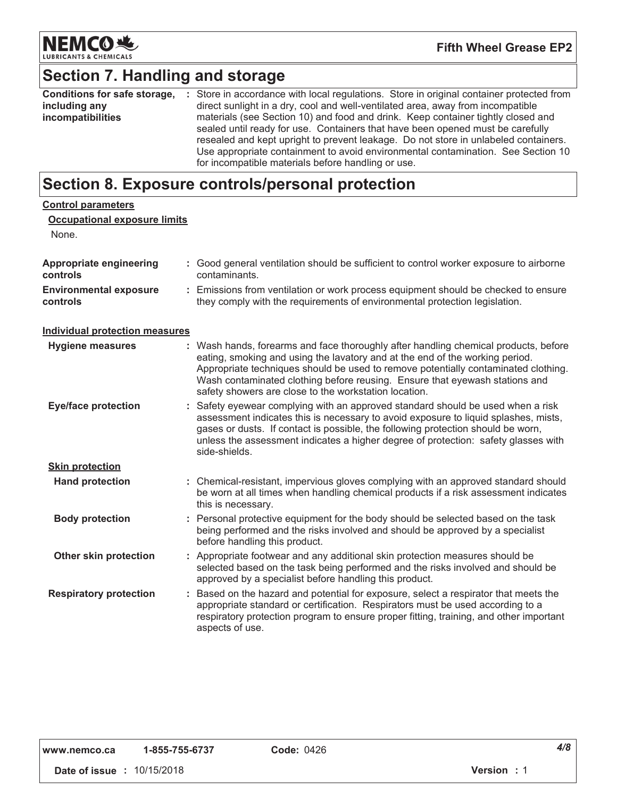

**Fifth Wheel Grease EP2** 

# Section 7. Handling and storage

| Conditions for safe storage, | : Store in accordance with local regulations. Store in original container protected from                                                                                                                                                                                                                                                                                                            |
|------------------------------|-----------------------------------------------------------------------------------------------------------------------------------------------------------------------------------------------------------------------------------------------------------------------------------------------------------------------------------------------------------------------------------------------------|
| including any                | direct sunlight in a dry, cool and well-ventilated area, away from incompatible                                                                                                                                                                                                                                                                                                                     |
| incompatibilities            | materials (see Section 10) and food and drink. Keep container tightly closed and<br>sealed until ready for use. Containers that have been opened must be carefully<br>resealed and kept upright to prevent leakage. Do not store in unlabeled containers.<br>Use appropriate containment to avoid environmental contamination. See Section 10<br>for incompatible materials before handling or use. |

# Section 8. Exposure controls/personal protection

| <b>Control parameters</b><br><b>Occupational exposure limits</b><br>None. |   |                                                                                                                                                                                                                                                                                                                                                                                                 |
|---------------------------------------------------------------------------|---|-------------------------------------------------------------------------------------------------------------------------------------------------------------------------------------------------------------------------------------------------------------------------------------------------------------------------------------------------------------------------------------------------|
| <b>Appropriate engineering</b><br>controls                                |   | : Good general ventilation should be sufficient to control worker exposure to airborne<br>contaminants.                                                                                                                                                                                                                                                                                         |
| <b>Environmental exposure</b><br>controls                                 | ÷ | Emissions from ventilation or work process equipment should be checked to ensure<br>they comply with the requirements of environmental protection legislation.                                                                                                                                                                                                                                  |
| <b>Individual protection measures</b>                                     |   |                                                                                                                                                                                                                                                                                                                                                                                                 |
| <b>Hygiene measures</b>                                                   |   | Wash hands, forearms and face thoroughly after handling chemical products, before<br>eating, smoking and using the lavatory and at the end of the working period.<br>Appropriate techniques should be used to remove potentially contaminated clothing.<br>Wash contaminated clothing before reusing. Ensure that eyewash stations and<br>safety showers are close to the workstation location. |
| <b>Eye/face protection</b>                                                |   | : Safety eyewear complying with an approved standard should be used when a risk<br>assessment indicates this is necessary to avoid exposure to liquid splashes, mists,<br>gases or dusts. If contact is possible, the following protection should be worn,<br>unless the assessment indicates a higher degree of protection: safety glasses with<br>side-shields.                               |
| <b>Skin protection</b>                                                    |   |                                                                                                                                                                                                                                                                                                                                                                                                 |
| <b>Hand protection</b>                                                    |   | : Chemical-resistant, impervious gloves complying with an approved standard should<br>be worn at all times when handling chemical products if a risk assessment indicates<br>this is necessary.                                                                                                                                                                                                 |
| <b>Body protection</b>                                                    |   | Personal protective equipment for the body should be selected based on the task<br>being performed and the risks involved and should be approved by a specialist<br>before handling this product.                                                                                                                                                                                               |
| Other skin protection                                                     |   | : Appropriate footwear and any additional skin protection measures should be<br>selected based on the task being performed and the risks involved and should be<br>approved by a specialist before handling this product.                                                                                                                                                                       |
| <b>Respiratory protection</b>                                             |   | : Based on the hazard and potential for exposure, select a respirator that meets the<br>appropriate standard or certification. Respirators must be used according to a<br>respiratory protection program to ensure proper fitting, training, and other important<br>aspects of use.                                                                                                             |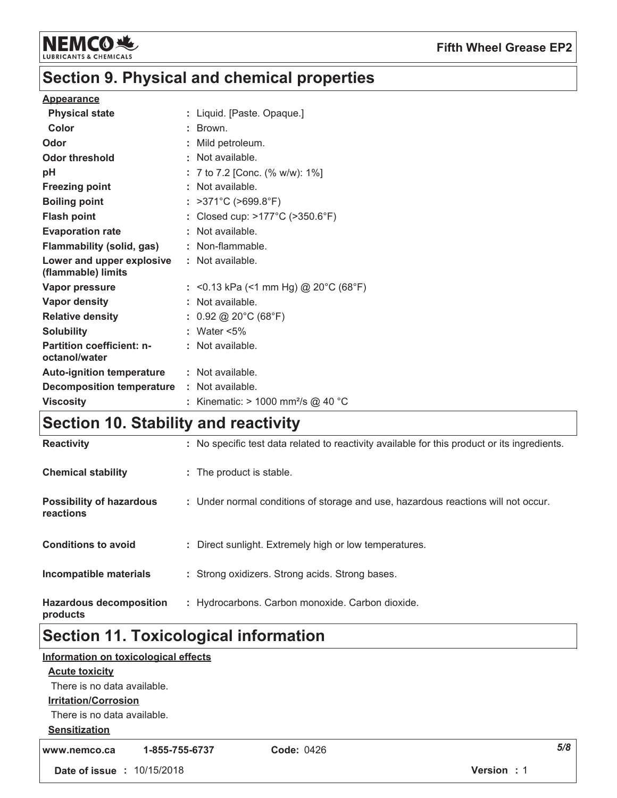

# Section 9. Physical and chemical properties

### **Appearance**

| <b>Physical state</b>                           | : Liquid. [Paste. Opaque.]                     |
|-------------------------------------------------|------------------------------------------------|
| Color                                           | $:$ Brown.                                     |
| Odor                                            | Mild petroleum.                                |
| <b>Odor threshold</b>                           | : Not available.                               |
| pH                                              | : 7 to 7.2 [Conc. (% w/w): $1\%$ ]             |
| <b>Freezing point</b>                           | $:$ Not available.                             |
| <b>Boiling point</b>                            | : $>371^{\circ}$ C ( $>699.8^{\circ}$ F)       |
| <b>Flash point</b>                              | : Closed cup: >177°C (>350.6°F)                |
| <b>Evaporation rate</b>                         | : Not available.                               |
| <b>Flammability (solid, gas)</b>                | : Non-flammable.                               |
| Lower and upper explosive<br>(flammable) limits | $:$ Not available.                             |
| Vapor pressure                                  | : <0.13 kPa (<1 mm Hg) @ 20°C (68°F)           |
| <b>Vapor density</b>                            | : Not available.                               |
| <b>Relative density</b>                         | : $0.92 \text{ @ } 20^{\circ}$ C (68°F)        |
| <b>Solubility</b>                               | : Water $<5\%$                                 |
| <b>Partition coefficient: n-</b>                | $:$ Not available.                             |
| octanol/water                                   |                                                |
| <b>Auto-ignition temperature</b>                | : Not available.                               |
| <b>Decomposition temperature</b>                | : Not available.                               |
| <b>Viscosity</b>                                | : Kinematic: > 1000 mm <sup>2</sup> /s @ 40 °C |

# Section 10. Stability and reactivity

| <b>Hazardous decomposition</b><br>products   | : Hydrocarbons. Carbon monoxide. Carbon dioxide.                                             |
|----------------------------------------------|----------------------------------------------------------------------------------------------|
| Incompatible materials                       | : Strong oxidizers. Strong acids. Strong bases.                                              |
| <b>Conditions to avoid</b>                   | : Direct sunlight. Extremely high or low temperatures.                                       |
| <b>Possibility of hazardous</b><br>reactions | : Under normal conditions of storage and use, hazardous reactions will not occur.            |
| <b>Chemical stability</b>                    | : The product is stable.                                                                     |
| <b>Reactivity</b>                            | : No specific test data related to reactivity available for this product or its ingredients. |

# **Section 11. Toxicological information**

|                                   | Information on toxicological effects |                   |                    |
|-----------------------------------|--------------------------------------|-------------------|--------------------|
| <b>Acute toxicity</b>             |                                      |                   |                    |
| There is no data available.       |                                      |                   |                    |
| <b>Irritation/Corrosion</b>       |                                      |                   |                    |
| There is no data available.       |                                      |                   |                    |
| <b>Sensitization</b>              |                                      |                   |                    |
| www.nemco.ca                      | 1-855-755-6737                       | <b>Code: 0426</b> | 5/8                |
| <b>Date of issue : 10/15/2018</b> |                                      |                   | <b>Version</b> : 1 |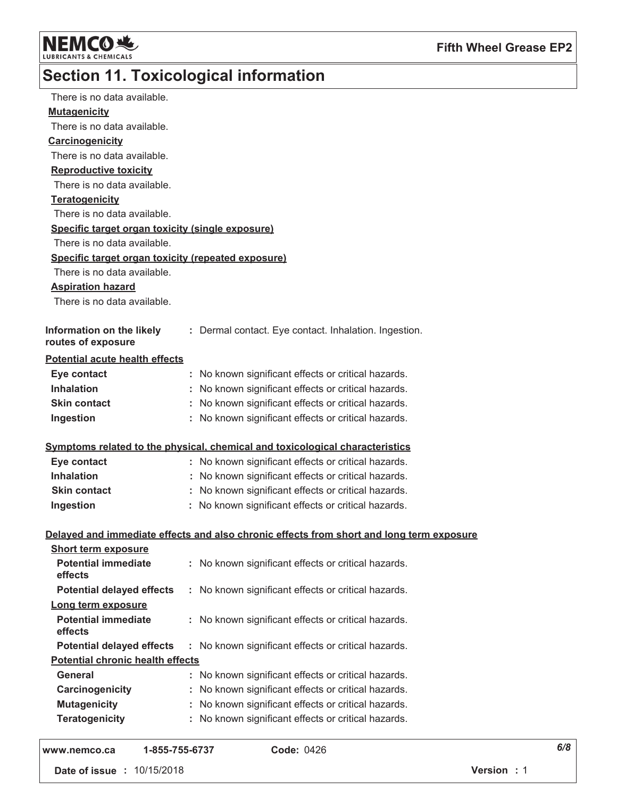

# Section 11. Toxicological information

| There is no data available.                        |                                                                                          |
|----------------------------------------------------|------------------------------------------------------------------------------------------|
| <b>Mutagenicity</b>                                |                                                                                          |
| There is no data available.                        |                                                                                          |
| Carcinogenicity                                    |                                                                                          |
| There is no data available.                        |                                                                                          |
| <b>Reproductive toxicity</b>                       |                                                                                          |
| There is no data available.                        |                                                                                          |
| Teratogenicity                                     |                                                                                          |
| There is no data available.                        |                                                                                          |
| Specific target organ toxicity (single exposure)   |                                                                                          |
| There is no data available.                        |                                                                                          |
| Specific target organ toxicity (repeated exposure) |                                                                                          |
| There is no data available.                        |                                                                                          |
| <b>Aspiration hazard</b>                           |                                                                                          |
| There is no data available.                        |                                                                                          |
|                                                    |                                                                                          |
| Information on the likely                          | : Dermal contact. Eye contact. Inhalation. Ingestion.                                    |
| routes of exposure                                 |                                                                                          |
| <b>Potential acute health effects</b>              |                                                                                          |
| Eye contact                                        | : No known significant effects or critical hazards.                                      |
| <b>Inhalation</b>                                  | : No known significant effects or critical hazards.                                      |
| <b>Skin contact</b>                                | : No known significant effects or critical hazards.                                      |
| Ingestion                                          | : No known significant effects or critical hazards.                                      |
|                                                    |                                                                                          |
|                                                    | Symptoms related to the physical, chemical and toxicological characteristics             |
| Eye contact                                        | : No known significant effects or critical hazards.                                      |
| <b>Inhalation</b>                                  | : No known significant effects or critical hazards.                                      |
| <b>Skin contact</b>                                | : No known significant effects or critical hazards.                                      |
| Ingestion                                          | : No known significant effects or critical hazards.                                      |
|                                                    |                                                                                          |
|                                                    | Delayed and immediate effects and also chronic effects from short and long term exposure |
| <b>Short term exposure</b>                         |                                                                                          |
| <b>Potential immediate</b><br>effects              | : No known significant effects or critical hazards.                                      |
|                                                    |                                                                                          |
| <b>Potential delayed effects</b>                   | : No known significant effects or critical hazards.                                      |
| Long term exposure                                 |                                                                                          |
| <b>Potential immediate</b><br>effects              | : No known significant effects or critical hazards.                                      |
| <b>Potential delayed effects</b>                   | : No known significant effects or critical hazards.                                      |
| <b>Potential chronic health effects</b>            |                                                                                          |
| General                                            | : No known significant effects or critical hazards.                                      |
| Carcinogenicity                                    | : No known significant effects or critical hazards.                                      |
| <b>Mutagenicity</b>                                | : No known significant effects or critical hazards.                                      |
| <b>Teratogenicity</b>                              | : No known significant effects or critical hazards.                                      |
|                                                    |                                                                                          |
| 1-855-755-6737<br>www.nemco.ca                     | <b>Code: 0426</b>                                                                        |

Date of issue : 10/15/2018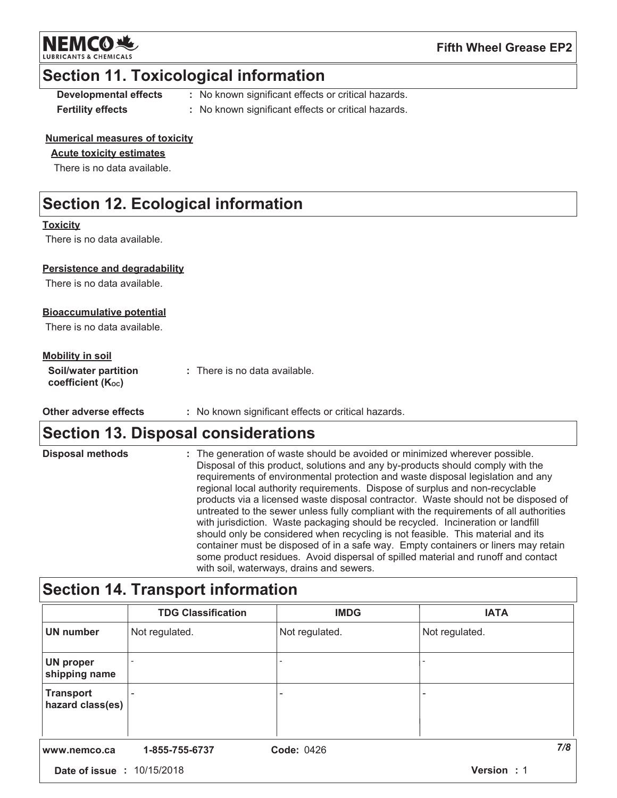**NEMCO头** 

**Fifth Wheel Grease EP2** 

### **Section 11. Toxicological information**

**Developmental effects Fertility effects** 

: No known significant effects or critical hazards.

: No known significant effects or critical hazards.

### **Numerical measures of toxicity**

### **Acute toxicity estimates**

There is no data available.

# **Section 12. Ecological information**

### **Toxicity**

There is no data available.

### Persistence and degradability

There is no data available.

### **Bioaccumulative potential**

There is no data available.

### **Mobility in soil**

| <b>Soil/water partition</b> | : There is no data available. |
|-----------------------------|-------------------------------|
| coefficient (Koc)           |                               |

Other adverse effects : No known significant effects or critical hazards.

## **Section 13. Disposal considerations**

| <b>Disposal methods</b> | : The generation of waste should be avoided or minimized wherever possible.<br>Disposal of this product, solutions and any by-products should comply with the<br>requirements of environmental protection and waste disposal legislation and any<br>regional local authority requirements. Dispose of surplus and non-recyclable<br>products via a licensed waste disposal contractor. Waste should not be disposed of<br>untreated to the sewer unless fully compliant with the requirements of all authorities<br>with jurisdiction. Waste packaging should be recycled. Incineration or landfill<br>should only be considered when recycling is not feasible. This material and its<br>container must be disposed of in a safe way. Empty containers or liners may retain |
|-------------------------|------------------------------------------------------------------------------------------------------------------------------------------------------------------------------------------------------------------------------------------------------------------------------------------------------------------------------------------------------------------------------------------------------------------------------------------------------------------------------------------------------------------------------------------------------------------------------------------------------------------------------------------------------------------------------------------------------------------------------------------------------------------------------|
|                         | some product residues. Avoid dispersal of spilled material and runoff and contact<br>with soil, waterways, drains and sewers.                                                                                                                                                                                                                                                                                                                                                                                                                                                                                                                                                                                                                                                |

# **Section 14. Transport information**

|                                      | <b>TDG Classification</b> | <b>IMDG</b>       | <b>IATA</b>    |
|--------------------------------------|---------------------------|-------------------|----------------|
| <b>UN number</b>                     | Not regulated.            | Not regulated.    | Not regulated. |
| <b>UN proper</b><br>shipping name    |                           |                   |                |
| <b>Transport</b><br>hazard class(es) |                           | ۰                 | ۰              |
|                                      |                           |                   |                |
| www.nemco.ca                         | 1-855-755-6737            | <b>Code: 0426</b> | 7/8            |
| <b>Date of issue : 10/15/2018</b>    |                           |                   | Version: 1     |